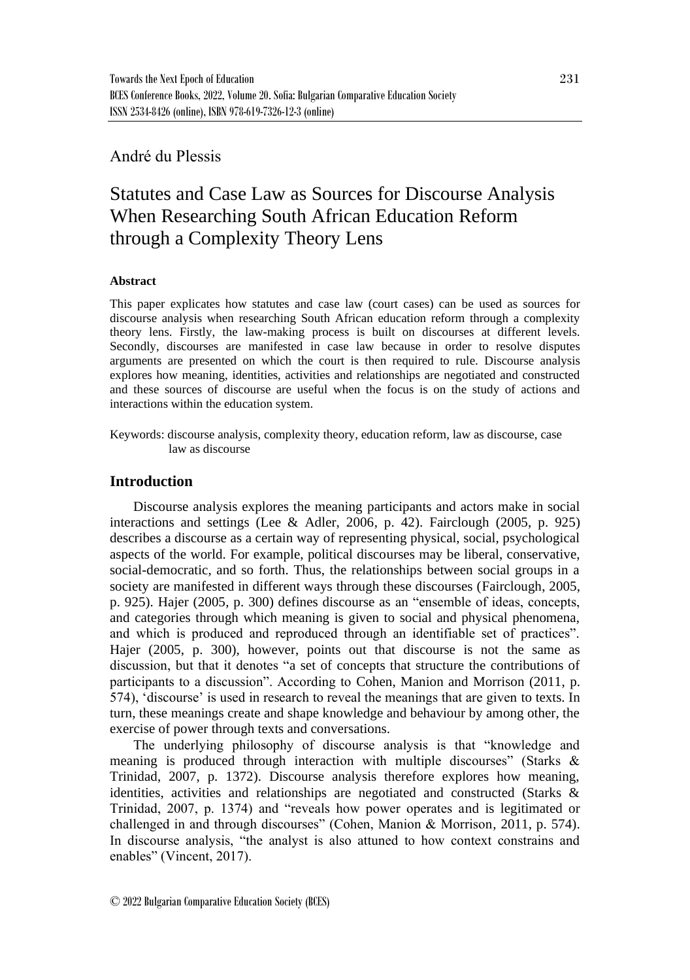# André du Plessis

# Statutes and Case Law as Sources for Discourse Analysis When Researching South African Education Reform through a Complexity Theory Lens

## **Abstract**

This paper explicates how statutes and case law (court cases) can be used as sources for discourse analysis when researching South African education reform through a complexity theory lens. Firstly, the law-making process is built on discourses at different levels. Secondly, discourses are manifested in case law because in order to resolve disputes arguments are presented on which the court is then required to rule. Discourse analysis explores how meaning, identities, activities and relationships are negotiated and constructed and these sources of discourse are useful when the focus is on the study of actions and interactions within the education system.

Keywords: discourse analysis, complexity theory, education reform, law as discourse, case law as discourse

# **Introduction**

Discourse analysis explores the meaning participants and actors make in social interactions and settings (Lee & Adler, 2006, p. 42). Fairclough (2005, p. 925) describes a discourse as a certain way of representing physical, social, psychological aspects of the world. For example, political discourses may be liberal, conservative, social-democratic, and so forth. Thus, the relationships between social groups in a society are manifested in different ways through these discourses (Fairclough, 2005, p. 925). Hajer (2005, p. 300) defines discourse as an "ensemble of ideas, concepts, and categories through which meaning is given to social and physical phenomena, and which is produced and reproduced through an identifiable set of practices". Hajer (2005, p. 300), however, points out that discourse is not the same as discussion, but that it denotes "a set of concepts that structure the contributions of participants to a discussion". According to Cohen, Manion and Morrison (2011, p. 574), 'discourse' is used in research to reveal the meanings that are given to texts. In turn, these meanings create and shape knowledge and behaviour by among other, the exercise of power through texts and conversations.

The underlying philosophy of discourse analysis is that "knowledge and meaning is produced through interaction with multiple discourses" (Starks & Trinidad, 2007, p. 1372). Discourse analysis therefore explores how meaning, identities, activities and relationships are negotiated and constructed (Starks & Trinidad, 2007, p. 1374) and "reveals how power operates and is legitimated or challenged in and through discourses" (Cohen, Manion & Morrison, 2011, p. 574). In discourse analysis, "the analyst is also attuned to how context constrains and enables" (Vincent, 2017).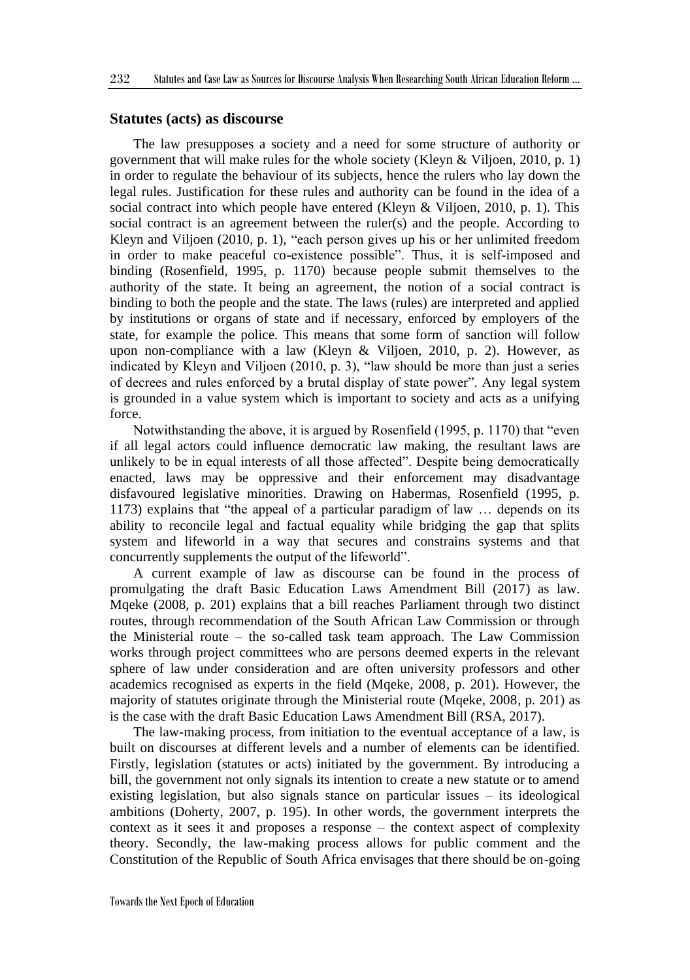#### **Statutes (acts) as discourse**

The law presupposes a society and a need for some structure of authority or government that will make rules for the whole society (Kleyn & Viljoen, 2010, p. 1) in order to regulate the behaviour of its subjects, hence the rulers who lay down the legal rules. Justification for these rules and authority can be found in the idea of a social contract into which people have entered (Kleyn & Viljoen, 2010, p. 1). This social contract is an agreement between the ruler(s) and the people. According to Kleyn and Viljoen (2010, p. 1), "each person gives up his or her unlimited freedom in order to make peaceful co-existence possible". Thus, it is self-imposed and binding (Rosenfield, 1995, p. 1170) because people submit themselves to the authority of the state. It being an agreement, the notion of a social contract is binding to both the people and the state. The laws (rules) are interpreted and applied by institutions or organs of state and if necessary, enforced by employers of the state, for example the police. This means that some form of sanction will follow upon non-compliance with a law (Kleyn & Viljoen, 2010, p. 2). However, as indicated by Kleyn and Viljoen (2010, p. 3), "law should be more than just a series of decrees and rules enforced by a brutal display of state power". Any legal system is grounded in a value system which is important to society and acts as a unifying force.

Notwithstanding the above, it is argued by Rosenfield (1995, p. 1170) that "even if all legal actors could influence democratic law making, the resultant laws are unlikely to be in equal interests of all those affected". Despite being democratically enacted, laws may be oppressive and their enforcement may disadvantage disfavoured legislative minorities. Drawing on Habermas, Rosenfield (1995, p. 1173) explains that "the appeal of a particular paradigm of law … depends on its ability to reconcile legal and factual equality while bridging the gap that splits system and lifeworld in a way that secures and constrains systems and that concurrently supplements the output of the lifeworld".

A current example of law as discourse can be found in the process of promulgating the draft Basic Education Laws Amendment Bill (2017) as law. Mqeke (2008, p. 201) explains that a bill reaches Parliament through two distinct routes, through recommendation of the South African Law Commission or through the Ministerial route – the so-called task team approach. The Law Commission works through project committees who are persons deemed experts in the relevant sphere of law under consideration and are often university professors and other academics recognised as experts in the field (Mqeke, 2008, p. 201). However, the majority of statutes originate through the Ministerial route (Mqeke, 2008, p. 201) as is the case with the draft Basic Education Laws Amendment Bill (RSA, 2017).

The law-making process, from initiation to the eventual acceptance of a law, is built on discourses at different levels and a number of elements can be identified. Firstly, legislation (statutes or acts) initiated by the government. By introducing a bill, the government not only signals its intention to create a new statute or to amend existing legislation, but also signals stance on particular issues – its ideological ambitions (Doherty, 2007, p. 195). In other words, the government interprets the context as it sees it and proposes a response – the context aspect of complexity theory. Secondly, the law-making process allows for public comment and the Constitution of the Republic of South Africa envisages that there should be on-going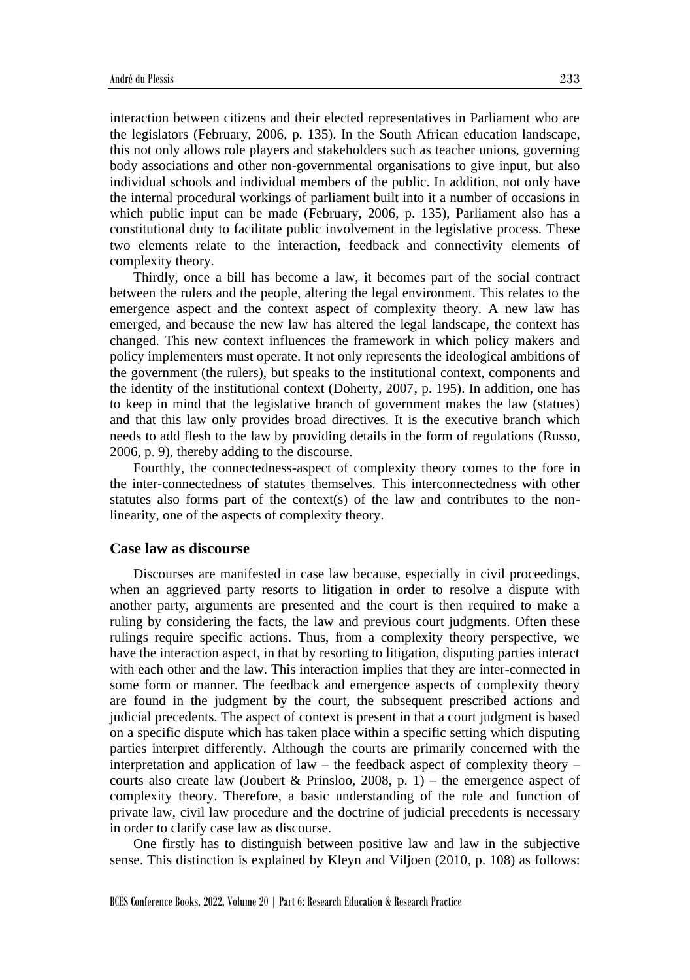interaction between citizens and their elected representatives in Parliament who are the legislators (February, 2006, p. 135). In the South African education landscape, this not only allows role players and stakeholders such as teacher unions, governing body associations and other non-governmental organisations to give input, but also individual schools and individual members of the public. In addition, not only have the internal procedural workings of parliament built into it a number of occasions in which public input can be made (February, 2006, p. 135), Parliament also has a constitutional duty to facilitate public involvement in the legislative process. These two elements relate to the interaction, feedback and connectivity elements of complexity theory.

Thirdly, once a bill has become a law, it becomes part of the social contract between the rulers and the people, altering the legal environment. This relates to the emergence aspect and the context aspect of complexity theory. A new law has emerged, and because the new law has altered the legal landscape, the context has changed. This new context influences the framework in which policy makers and policy implementers must operate. It not only represents the ideological ambitions of the government (the rulers), but speaks to the institutional context, components and the identity of the institutional context (Doherty, 2007, p. 195). In addition, one has to keep in mind that the legislative branch of government makes the law (statues) and that this law only provides broad directives. It is the executive branch which needs to add flesh to the law by providing details in the form of regulations (Russo, 2006, p. 9), thereby adding to the discourse.

Fourthly, the connectedness-aspect of complexity theory comes to the fore in the inter-connectedness of statutes themselves. This interconnectedness with other statutes also forms part of the context(s) of the law and contributes to the nonlinearity, one of the aspects of complexity theory.

#### **Case law as discourse**

Discourses are manifested in case law because, especially in civil proceedings, when an aggrieved party resorts to litigation in order to resolve a dispute with another party, arguments are presented and the court is then required to make a ruling by considering the facts, the law and previous court judgments. Often these rulings require specific actions. Thus, from a complexity theory perspective, we have the interaction aspect, in that by resorting to litigation, disputing parties interact with each other and the law. This interaction implies that they are inter-connected in some form or manner. The feedback and emergence aspects of complexity theory are found in the judgment by the court, the subsequent prescribed actions and judicial precedents. The aspect of context is present in that a court judgment is based on a specific dispute which has taken place within a specific setting which disputing parties interpret differently. Although the courts are primarily concerned with the interpretation and application of law – the feedback aspect of complexity theory – courts also create law (Joubert & Prinsloo, 2008, p. 1) – the emergence aspect of complexity theory. Therefore, a basic understanding of the role and function of private law, civil law procedure and the doctrine of judicial precedents is necessary in order to clarify case law as discourse.

One firstly has to distinguish between positive law and law in the subjective sense. This distinction is explained by Kleyn and Viljoen (2010, p. 108) as follows: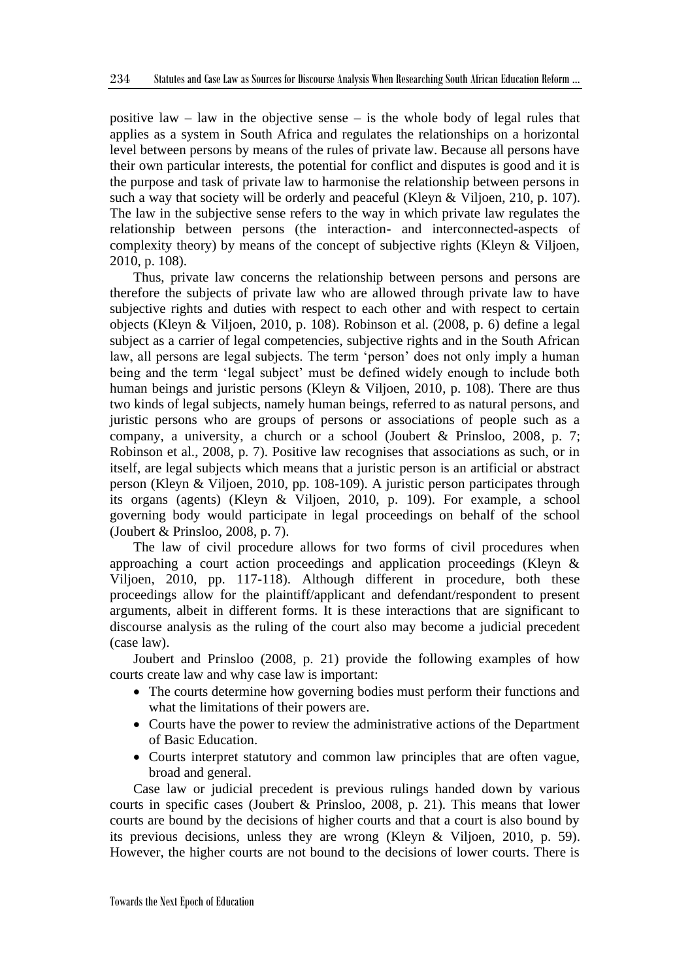positive law – law in the objective sense – is the whole body of legal rules that applies as a system in South Africa and regulates the relationships on a horizontal level between persons by means of the rules of private law. Because all persons have their own particular interests, the potential for conflict and disputes is good and it is the purpose and task of private law to harmonise the relationship between persons in such a way that society will be orderly and peaceful (Kleyn & Viljoen, 210, p. 107). The law in the subjective sense refers to the way in which private law regulates the relationship between persons (the interaction- and interconnected-aspects of complexity theory) by means of the concept of subjective rights (Kleyn & Viljoen, 2010, p. 108).

Thus, private law concerns the relationship between persons and persons are therefore the subjects of private law who are allowed through private law to have subjective rights and duties with respect to each other and with respect to certain objects (Kleyn & Viljoen, 2010, p. 108). Robinson et al. (2008, p. 6) define a legal subject as a carrier of legal competencies, subjective rights and in the South African law, all persons are legal subjects. The term 'person' does not only imply a human being and the term 'legal subject' must be defined widely enough to include both human beings and juristic persons (Kleyn & Viljoen, 2010, p. 108). There are thus two kinds of legal subjects, namely human beings, referred to as natural persons, and juristic persons who are groups of persons or associations of people such as a company, a university, a church or a school (Joubert & Prinsloo, 2008, p. 7; Robinson et al., 2008, p. 7). Positive law recognises that associations as such, or in itself, are legal subjects which means that a juristic person is an artificial or abstract person (Kleyn & Viljoen, 2010, pp. 108-109). A juristic person participates through its organs (agents) (Kleyn & Viljoen, 2010, p. 109). For example, a school governing body would participate in legal proceedings on behalf of the school (Joubert & Prinsloo, 2008, p. 7).

The law of civil procedure allows for two forms of civil procedures when approaching a court action proceedings and application proceedings (Kleyn & Viljoen, 2010, pp. 117-118). Although different in procedure, both these proceedings allow for the plaintiff/applicant and defendant/respondent to present arguments, albeit in different forms. It is these interactions that are significant to discourse analysis as the ruling of the court also may become a judicial precedent (case law).

Joubert and Prinsloo (2008, p. 21) provide the following examples of how courts create law and why case law is important:

- The courts determine how governing bodies must perform their functions and what the limitations of their powers are.
- Courts have the power to review the administrative actions of the Department of Basic Education.
- Courts interpret statutory and common law principles that are often vague, broad and general.

Case law or judicial precedent is previous rulings handed down by various courts in specific cases (Joubert & Prinsloo, 2008, p. 21). This means that lower courts are bound by the decisions of higher courts and that a court is also bound by its previous decisions, unless they are wrong (Kleyn & Viljoen, 2010, p. 59). However, the higher courts are not bound to the decisions of lower courts. There is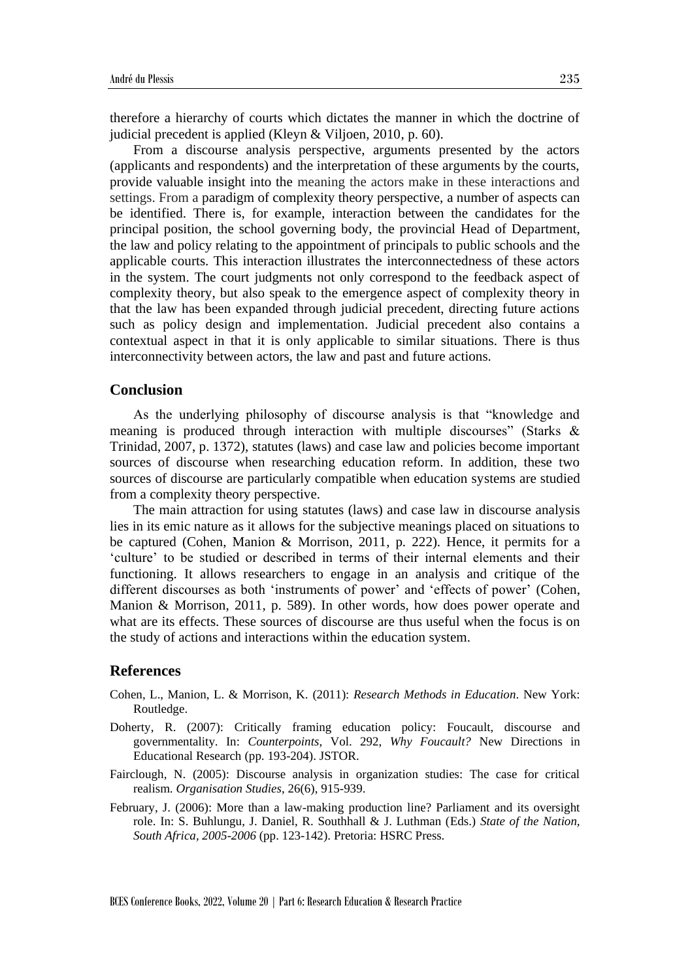therefore a hierarchy of courts which dictates the manner in which the doctrine of judicial precedent is applied (Kleyn & Viljoen, 2010, p. 60).

From a discourse analysis perspective, arguments presented by the actors (applicants and respondents) and the interpretation of these arguments by the courts, provide valuable insight into the meaning the actors make in these interactions and settings. From a paradigm of complexity theory perspective, a number of aspects can be identified. There is, for example, interaction between the candidates for the principal position, the school governing body, the provincial Head of Department, the law and policy relating to the appointment of principals to public schools and the applicable courts. This interaction illustrates the interconnectedness of these actors in the system. The court judgments not only correspond to the feedback aspect of complexity theory, but also speak to the emergence aspect of complexity theory in that the law has been expanded through judicial precedent, directing future actions such as policy design and implementation. Judicial precedent also contains a contextual aspect in that it is only applicable to similar situations. There is thus interconnectivity between actors, the law and past and future actions.

## **Conclusion**

As the underlying philosophy of discourse analysis is that "knowledge and meaning is produced through interaction with multiple discourses" (Starks & Trinidad, 2007, p. 1372), statutes (laws) and case law and policies become important sources of discourse when researching education reform. In addition, these two sources of discourse are particularly compatible when education systems are studied from a complexity theory perspective.

The main attraction for using statutes (laws) and case law in discourse analysis lies in its emic nature as it allows for the subjective meanings placed on situations to be captured (Cohen, Manion & Morrison, 2011, p. 222). Hence, it permits for a 'culture' to be studied or described in terms of their internal elements and their functioning. It allows researchers to engage in an analysis and critique of the different discourses as both 'instruments of power' and 'effects of power' (Cohen, Manion & Morrison, 2011, p. 589). In other words, how does power operate and what are its effects. These sources of discourse are thus useful when the focus is on the study of actions and interactions within the education system.

## **References**

- Cohen, L., Manion, L. & Morrison, K. (2011): *Research Methods in Education*. New York: Routledge.
- Doherty, R. (2007): Critically framing education policy: Foucault, discourse and governmentality. In: *Counterpoints*, Vol. 292, *Why Foucault?* New Directions in Educational Research (pp. 193-204). JSTOR.
- Fairclough, N. (2005): Discourse analysis in organization studies: The case for critical realism. *Organisation Studies*, 26(6), 915-939.
- February, J. (2006): More than a law-making production line? Parliament and its oversight role. In: S. Buhlungu, J. Daniel, R. Southhall & J. Luthman (Eds.) *State of the Nation, South Africa, 2005-2006* (pp. 123-142). Pretoria: HSRC Press.